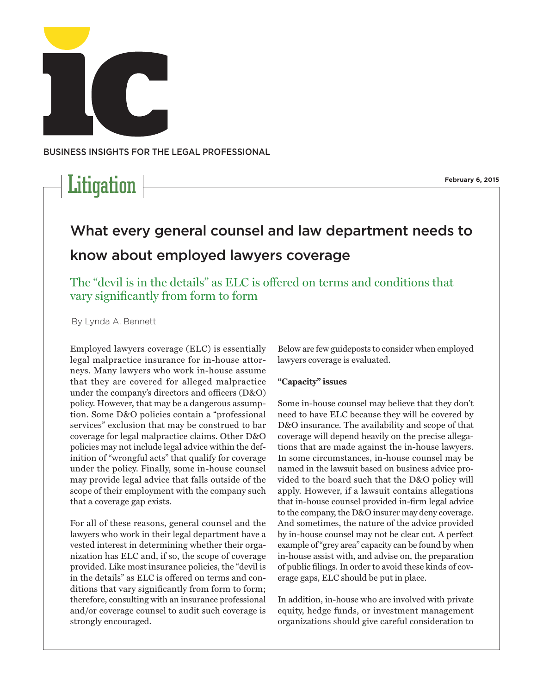

business insights for THE LEGAL PROFESSION AL

# Litigation  $\vert$

**February 6, 2015**

# What every general counsel and law department needs to know about employed lawyers coverage

The "devil is in the details" as ELC is offered on terms and conditions that vary significantly from form to form

By Lynda A. Bennett

Employed lawyers coverage (ELC) is essentially legal malpractice insurance for in-house attorneys. Many lawyers who work in-house assume that they are covered for alleged malpractice under the company's directors and officers (D&O) policy. However, that may be a dangerous assumption. Some D&O policies contain a "professional services" exclusion that may be construed to bar coverage for legal malpractice claims. Other D&O policies may not include legal advice within the definition of "wrongful acts" that qualify for coverage under the policy. Finally, some in-house counsel may provide legal advice that falls outside of the scope of their employment with the company such that a coverage gap exists.

For all of these reasons, general counsel and the lawyers who work in their legal department have a vested interest in determining whether their organization has ELC and, if so, the scope of coverage provided. Like most insurance policies, the "devil is in the details" as ELC is offered on terms and conditions that vary significantly from form to form; therefore, consulting with an insurance professional and/or coverage counsel to audit such coverage is strongly encouraged.

Below are few guideposts to consider when employed lawyers coverage is evaluated.

## **"Capacity" issues**

Some in-house counsel may believe that they don't need to have ELC because they will be covered by D&O insurance. The availability and scope of that coverage will depend heavily on the precise allegations that are made against the in-house lawyers. In some circumstances, in-house counsel may be named in the lawsuit based on business advice provided to the board such that the D&O policy will apply. However, if a lawsuit contains allegations that in-house counsel provided in-firm legal advice to the company, the D&O insurer may deny coverage. And sometimes, the nature of the advice provided by in-house counsel may not be clear cut. A perfect example of "grey area" capacity can be found by when in-house assist with, and advise on, the preparation of public filings. In order to avoid these kinds of coverage gaps, ELC should be put in place.

In addition, in-house who are involved with private equity, hedge funds, or investment management organizations should give careful consideration to